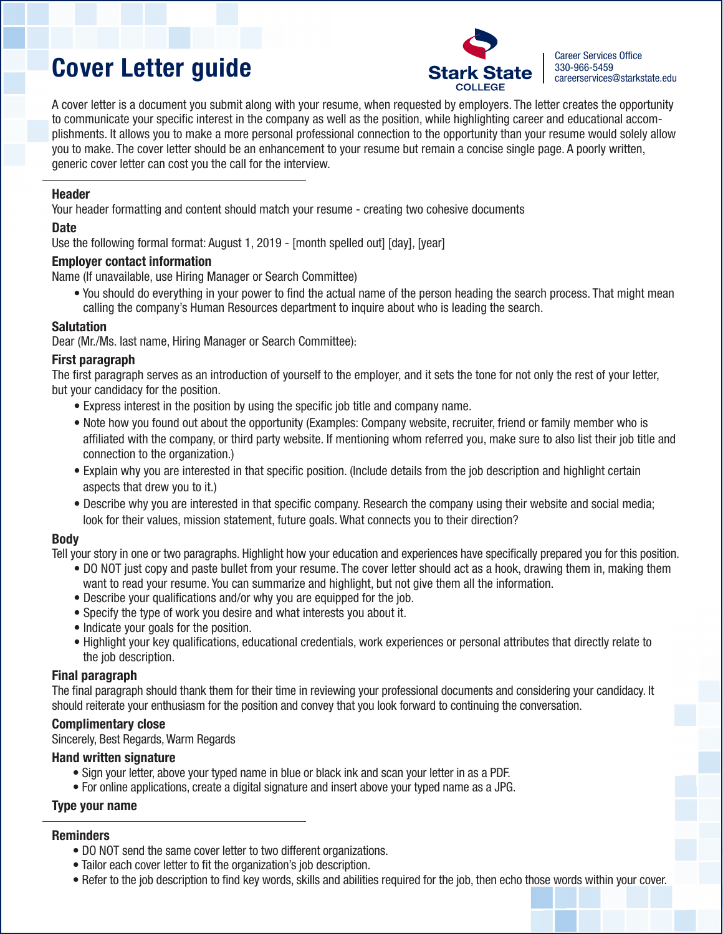# Cover Letter guide Stark State 380-966-5459 Cover Letter guide careerservices Onlice



A cover letter is a document you submit along with your resume, when requested by employers. The letter creates the opportunity to communicate your specific interest in the company as well as the position, while highlighting career and educational accomplishments. It allows you to make a more personal professional connection to the opportunity than your resume would solely allow you to make. The cover letter should be an enhancement to your resume but remain a concise single page. A poorly written, generic cover letter can cost you the call for the interview.

#### **Header**

Your header formatting and content should match your resume - creating two cohesive documents

#### **Date**

Use the following formal format: August 1, 2019 - [month spelled out] [day], [year]

#### Employer contact information

Name (If unavailable, use Hiring Manager or Search Committee)

• You should do everything in your power to find the actual name of the person heading the search process. That might mean calling the company's Human Resources department to inquire about who is leading the search.

#### Salutation

Dear (Mr./Ms. last name, Hiring Manager or Search Committee):

#### First paragraph

The first paragraph serves as an introduction of yourself to the employer, and it sets the tone for not only the rest of your letter, but your candidacy for the position.

- Express interest in the position by using the specific job title and company name.
- Note how you found out about the opportunity (Examples: Company website, recruiter, friend or family member who is affiliated with the company, or third party website. If mentioning whom referred you, make sure to also list their job title and connection to the organization.)
- Explain why you are interested in that specific position. (Include details from the job description and highlight certain aspects that drew you to it.)
- Describe why you are interested in that specific company. Research the company using their website and social media; look for their values, mission statement, future goals. What connects you to their direction?

# Body

Tell your story in one or two paragraphs. Highlight how your education and experiences have specifically prepared you for this position.

- DO NOT just copy and paste bullet from your resume. The cover letter should act as a hook, drawing them in, making them want to read your resume. You can summarize and highlight, but not give them all the information.
- Describe your qualifications and/or why you are equipped for the job.
- Specify the type of work you desire and what interests you about it.
- Indicate your goals for the position.
- Highlight your key qualifications, educational credentials, work experiences or personal attributes that directly relate to the job description.

#### Final paragraph

The final paragraph should thank them for their time in reviewing your professional documents and considering your candidacy. It should reiterate your enthusiasm for the position and convey that you look forward to continuing the conversation.

# Complimentary close

Sincerely, Best Regards, Warm Regards

#### Hand written signature

- Sign your letter, above your typed name in blue or black ink and scan your letter in as a PDF.
- For online applications, create a digital signature and insert above your typed name as a JPG.

# Type your name

# **Reminders**

- DO NOT send the same cover letter to two different organizations.
- Tailor each cover letter to fit the organization's job description.
- Refer to the job description to find key words, skills and abilities required for the job, then echo those words within your cover.